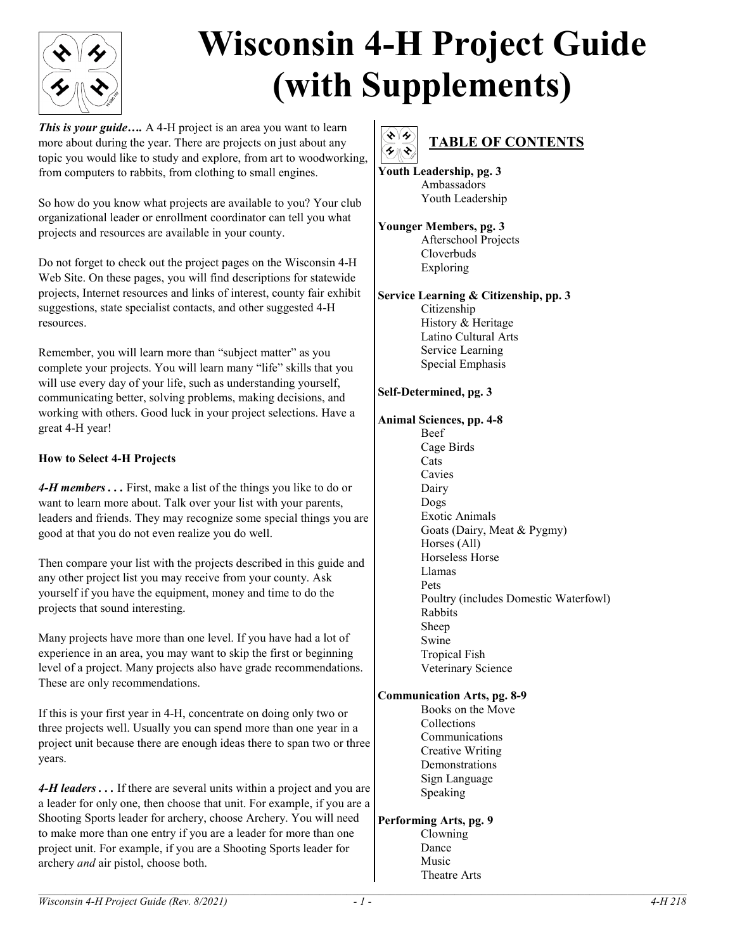

# **Wisconsin 4-H Project Guide (with Supplements)**

*This is your guide….* A 4-H project is an area you want to learn more about during the year. There are projects on just about any topic you would like to study and explore, from art to woodworking, from computers to rabbits, from clothing to small engines.

So how do you know what projects are available to you? Your club organizational leader or enrollment coordinator can tell you what projects and resources are available in your county.

Do not forget to check out the project pages on the Wisconsin 4-H Web Site. On these pages, you will find descriptions for statewide projects, Internet resources and links of interest, county fair exhibit suggestions, state specialist contacts, and other suggested 4-H resources.

Remember, you will learn more than "subject matter" as you complete your projects. You will learn many "life" skills that you will use every day of your life, such as understanding yourself, communicating better, solving problems, making decisions, and working with others. Good luck in your project selections. Have a great 4-H year!

#### **How to Select 4-H Projects**

*4-H members . . .* First, make a list of the things you like to do or want to learn more about. Talk over your list with your parents, leaders and friends. They may recognize some special things you are good at that you do not even realize you do well.

Then compare your list with the projects described in this guide and any other project list you may receive from your county. Ask yourself if you have the equipment, money and time to do the projects that sound interesting.

Many projects have more than one level. If you have had a lot of experience in an area, you may want to skip the first or beginning level of a project. Many projects also have grade recommendations. These are only recommendations.

If this is your first year in 4-H, concentrate on doing only two or three projects well. Usually you can spend more than one year in a project unit because there are enough ideas there to span two or three years.

*4-H leaders . . .* If there are several units within a project and you are a leader for only one, then choose that unit. For example, if you are a Shooting Sports leader for archery, choose Archery. You will need to make more than one entry if you are a leader for more than one project unit. For example, if you are a Shooting Sports leader for archery *and* air pistol, choose both.



# **TABLE OF CONTENTS**

**Youth Leadership, pg. 3** Ambassadors Youth Leadership

**Younger Members, pg. 3** Afterschool Projects Cloverbuds Exploring

**Service Learning & Citizenship, pp. 3** Citizenship History & Heritage

Latino Cultural Arts Service Learning Special Emphasis

#### **Self-Determined, pg. 3**

#### **Animal Sciences, pp. 4-8**

Beef Cage Birds **Cats Cavies** Dairy Dogs Exotic Animals Goats (Dairy, Meat & Pygmy) Horses (All) Horseless Horse Llamas Pets Poultry (includes Domestic Waterfowl) Rabbits Sheep Swine Tropical Fish Veterinary Science

**Communication Arts, pg. 8-9**

Books on the Move Collections Communications Creative Writing Demonstrations Sign Language Speaking

**Performing Arts, pg. 9** Clowning Dance Music Theatre Arts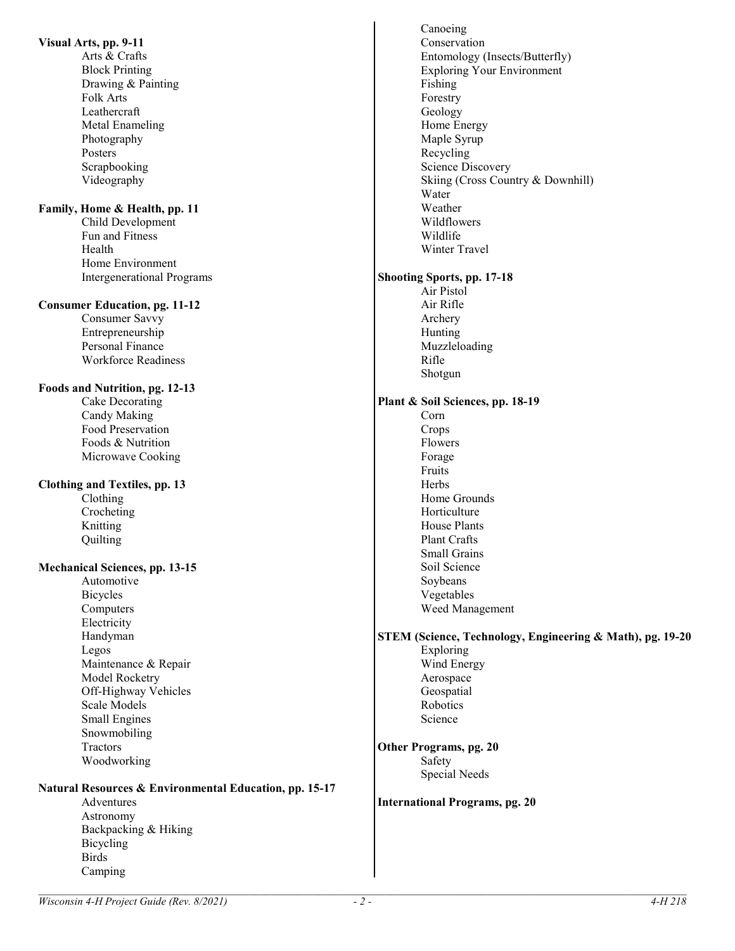|                                                                   | Canoeing                                                  |
|-------------------------------------------------------------------|-----------------------------------------------------------|
| Visual Arts, pp. 9-11                                             | Conservation                                              |
| Arts & Crafts                                                     | Entomology (Insects/Butterfly)                            |
| <b>Block Printing</b>                                             | <b>Exploring Your Environment</b>                         |
| Drawing & Painting                                                | Fishing                                                   |
| Folk Arts                                                         | Forestry                                                  |
| Leathercraft                                                      | Geology                                                   |
| Metal Enameling                                                   | Home Energy                                               |
| Photography                                                       | Maple Syrup                                               |
| Posters                                                           | Recycling                                                 |
| Scrapbooking                                                      | <b>Science Discovery</b>                                  |
| Videography                                                       | Skiing (Cross Country & Downhill)                         |
|                                                                   | Water                                                     |
| Family, Home & Health, pp. 11                                     | Weather                                                   |
| Child Development                                                 | Wildflowers                                               |
| Fun and Fitness                                                   | Wildlife                                                  |
| Health                                                            | Winter Travel                                             |
| Home Environment                                                  |                                                           |
|                                                                   |                                                           |
| <b>Intergenerational Programs</b>                                 | <b>Shooting Sports, pp. 17-18</b>                         |
|                                                                   | Air Pistol                                                |
| <b>Consumer Education, pg. 11-12</b>                              | Air Rifle                                                 |
| <b>Consumer Savvy</b>                                             | Archery                                                   |
| Entrepreneurship                                                  | Hunting                                                   |
| Personal Finance                                                  | Muzzleloading                                             |
| <b>Workforce Readiness</b>                                        | Rifle                                                     |
|                                                                   | Shotgun                                                   |
| Foods and Nutrition, pg. 12-13                                    |                                                           |
| Cake Decorating                                                   | Plant & Soil Sciences, pp. 18-19                          |
| Candy Making                                                      | Corn                                                      |
| Food Preservation                                                 | Crops                                                     |
| Foods & Nutrition                                                 | Flowers                                                   |
| Microwave Cooking                                                 | Forage                                                    |
|                                                                   | Fruits                                                    |
| <b>Clothing and Textiles, pp. 13</b>                              | Herbs                                                     |
| Clothing                                                          | Home Grounds                                              |
| Crocheting                                                        | Horticulture                                              |
|                                                                   |                                                           |
| Knitting                                                          | House Plants                                              |
| Quilting                                                          | Plant Crafts                                              |
|                                                                   | <b>Small Grains</b>                                       |
| <b>Mechanical Sciences, pp. 13-15</b>                             | Soil Science                                              |
| Automotive                                                        | Soybeans                                                  |
| <b>Bicycles</b>                                                   | Vegetables                                                |
| Computers                                                         | Weed Management                                           |
| Electricity                                                       |                                                           |
| Handyman                                                          | STEM (Science, Technology, Engineering & Math), pg. 19-20 |
| Legos                                                             | Exploring                                                 |
| Maintenance & Repair                                              | Wind Energy                                               |
| Model Rocketry                                                    | Aerospace                                                 |
| Off-Highway Vehicles                                              | Geospatial                                                |
| Scale Models                                                      | Robotics                                                  |
| <b>Small Engines</b>                                              | Science                                                   |
| Snowmobiling                                                      |                                                           |
|                                                                   |                                                           |
| Tractors                                                          | Other Programs, pg. 20                                    |
| Woodworking                                                       | Safety                                                    |
|                                                                   | Special Needs                                             |
| <b>Natural Resources &amp; Environmental Education, pp. 15-17</b> |                                                           |
| Adventures                                                        | <b>International Programs, pg. 20</b>                     |
| Astronomy                                                         |                                                           |
| Backpacking & Hiking                                              |                                                           |
| Bicycling                                                         |                                                           |
| <b>Birds</b>                                                      |                                                           |
| Camping                                                           |                                                           |
|                                                                   |                                                           |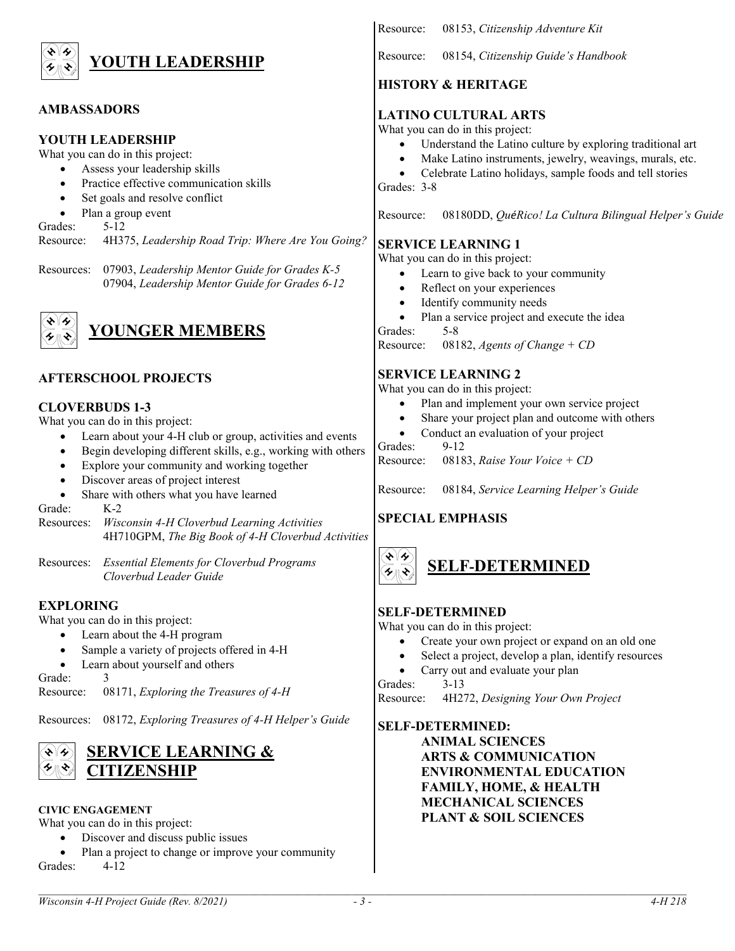

# **YOUTH LEADERSHIP**

#### **AMBASSADORS**

#### **YOUTH LEADERSHIP**

What you can do in this project:

- Assess your leadership skills
- Practice effective communication skills
- Set goals and resolve conflict
- Plan a group event

Grades: 5-12

Resource: 4H375, *Leadership Road Trip: Where Are You Going?*

Resources: 07903, *Leadership Mentor Guide for Grades K-5* 07904, *Leadership Mentor Guide for Grades 6-12*



#### **AFTERSCHOOL PROJECTS**

#### **CLOVERBUDS 1-3**

What you can do in this project:

- Learn about your 4-H club or group, activities and events
- Begin developing different skills, e.g., working with others
- Explore your community and working together
- Discover areas of project interest
- Share with others what you have learned

Grade: K-2

Resources: *Wisconsin 4-H Cloverbud Learning Activities* 4H710GPM, *The Big Book of 4-H Cloverbud Activities*

Resources: *Essential Elements for Cloverbud Programs Cloverbud Leader Guide*

#### **EXPLORING**

What you can do in this project:

- Learn about the 4-H program
- Sample a variety of projects offered in 4-H
- Learn about yourself and others

Grade: 3

Resource: 08171, *Exploring the Treasures of 4-H*

Resources: 08172, *Exploring Treasures of 4-H Helper's Guide*

#### **SERVICE LEARNING &** ৻ৡ৾৻৻৵ **CITIZENSHIP**

#### **CIVIC ENGAGEMENT**

What you can do in this project:

- Discover and discuss public issues
- Plan a project to change or improve your community  $4-12$ Grades:

Resource: 08153, *Citizenship Adventure Kit*

Resource: 08154, *Citizenship Guide's Handbook*

# **HISTORY & HERITAGE**

# **LATINO CULTURAL ARTS**

What you can do in this project:

- Understand the Latino culture by exploring traditional art
- Make Latino instruments, jewelry, weavings, murals, etc.
- Celebrate Latino holidays, sample foods and tell stories

Grades: 3-8

Resource: 08180DD, *QuéRico! La Cultura Bilingual Helper's Guide*

#### **SERVICE LEARNING 1**

What you can do in this project:

- Learn to give back to your community
- Reflect on your experiences
- Identify community needs
- Plan a service project and execute the idea
- Grades: 5-8

Resource: 08182, *Agents of Change + CD*

#### **SERVICE LEARNING 2**

What you can do in this project:

- Plan and implement your own service project
- Share your project plan and outcome with others
- Conduct an evaluation of your project
- Grades: 9-12

Resource: 08183, *Raise Your Voice + CD*

Resource: 08184, *Service Learning Helper's Guide*

#### **SPECIAL EMPHASIS**



# **SELF-DETERMINED**

What you can do in this project:

- Create your own project or expand on an old one
- Select a project, develop a plan, identify resources
- Carry out and evaluate your plan

Grades: 3-13

Resource: 4H272, *Designing Your Own Project*

#### **SELF-DETERMINED:**

**ANIMAL SCIENCES ARTS & COMMUNICATION ENVIRONMENTAL EDUCATION FAMILY, HOME, & HEALTH MECHANICAL SCIENCES PLANT & SOIL SCIENCES**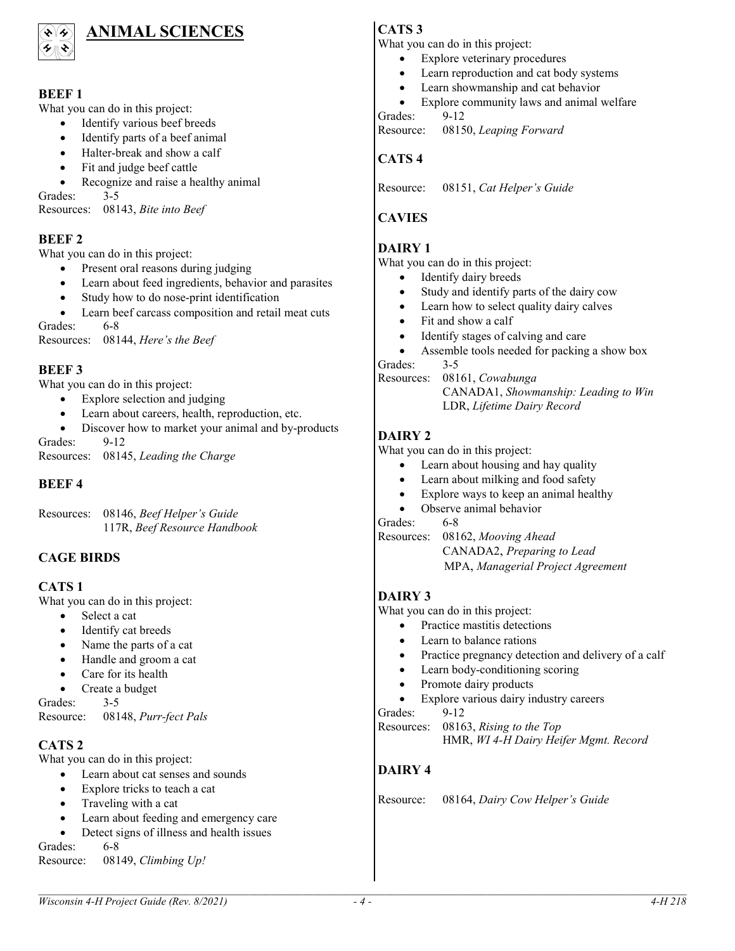

# **ANIMAL SCIENCES**

#### **BEEF 1**

What you can do in this project:

- Identify various beef breeds
- Identify parts of a beef animal
- Halter-break and show a calf
- Fit and judge beef cattle
- Recognize and raise a healthy animal

Grades: 3-5

Resources: 08143, *Bite into Beef*

#### **BEEF 2**

What you can do in this project:

- Present oral reasons during judging
- Learn about feed ingredients, behavior and parasites
- Study how to do nose-print identification

• Learn beef carcass composition and retail meat cuts Grades: 6-8

Resources: 08144, *Here's the Beef*

#### **BEEF 3**

What you can do in this project:

- Explore selection and judging
- Learn about careers, health, reproduction, etc.
- Discover how to market your animal and by-products  $9-12$

Grades:

Resources: 08145, *Leading the Charge*

#### **BEEF 4**

Resources: 08146, *Beef Helper's Guide* 117R, *Beef Resource Handbook*

#### **CAGE BIRDS**

#### **CATS 1**

What you can do in this project:

- Select a cat
- Identify cat breeds
- Name the parts of a cat
- Handle and groom a cat
- Care for its health
- Create a budget

Grades: 3-5

Resource: 08148, *Purr-fect Pals*

#### **CATS 2**

What you can do in this project:

- Learn about cat senses and sounds
- Explore tricks to teach a cat
- Traveling with a cat
- Learn about feeding and emergency care
- Detect signs of illness and health issues

Grades: 6-8

Resource: 08149, *Climbing Up!*

# **CATS 3**

What you can do in this project:

- Explore veterinary procedures
	- Learn reproduction and cat body systems
- Learn showmanship and cat behavior
- Explore community laws and animal welfare

Grades: 9-12

Resource: 08150, *Leaping Forward*

#### **CATS 4**

Resource: 08151, *Cat Helper's Guide*

#### **CAVIES**

#### **DAIRY 1**

What you can do in this project:

- Identify dairy breeds
- Study and identify parts of the dairy cow
- Learn how to select quality dairy calves
- Fit and show a calf
- Identify stages of calving and care
- Assemble tools needed for packing a show box

Grades: 3-5

Resources: 08161, *Cowabunga*

CANADA1, *Showmanship: Leading to Win* LDR, *Lifetime Dairy Record*

### **DAIRY 2**

What you can do in this project:

- Learn about housing and hay quality
- Learn about milking and food safety
- Explore ways to keep an animal healthy
- Observe animal behavior

Grades: 6-8

Resources: 08162, *Mooving Ahead* CANADA2, *Preparing to Lead* MPA, *Managerial Project Agreement*

#### **DAIRY 3**

What you can do in this project:

- Practice mastitis detections
- Learn to balance rations
- Practice pregnancy detection and delivery of a calf
- Learn body-conditioning scoring
- Promote dairy products
- Explore various dairy industry careers

Grades: 9-12

Resources: 08163, *Rising to the Top* HMR, *WI 4-H Dairy Heifer Mgmt. Record*

# **DAIRY 4**

Resource: 08164, *Dairy Cow Helper's Guide*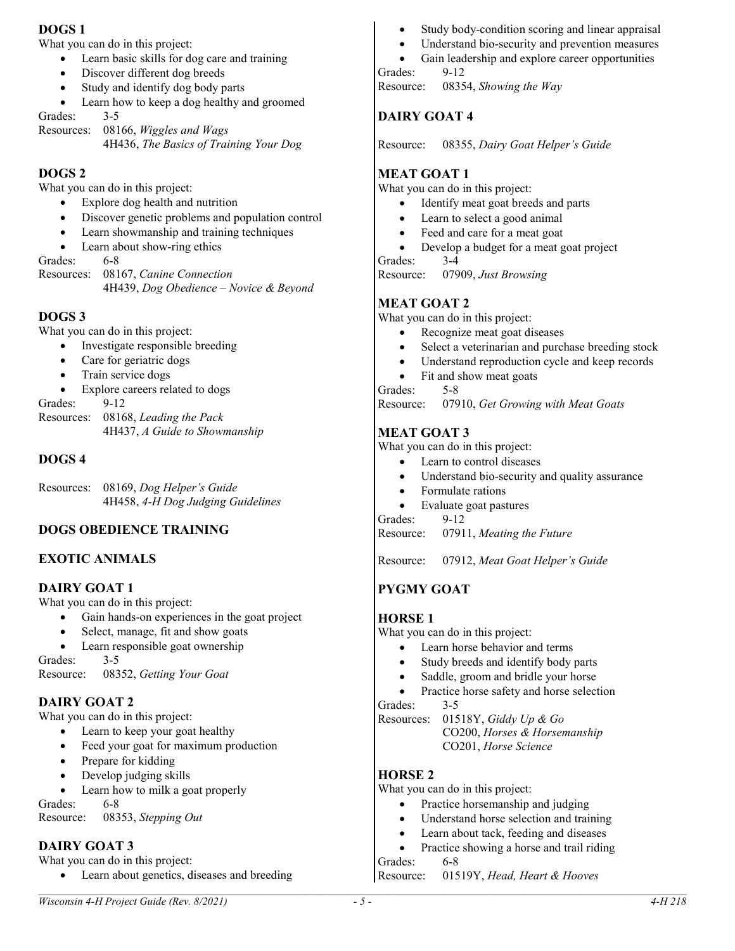#### **DOGS 1**

What you can do in this project:

- Learn basic skills for dog care and training
- Discover different dog breeds
- Study and identify dog body parts
- Learn how to keep a dog healthy and groomed Grades: 3-5

Resources: 08166, *Wiggles and Wags* 4H436, *The Basics of Training Your Dog*

### **DOGS 2**

What you can do in this project:

- Explore dog health and nutrition
- Discover genetic problems and population control
- Learn showmanship and training techniques
- Learn about show-ring ethics

Grades: 6-8

Resources: 08167, *Canine Connection* 4H439, *Dog Obedience – Novice & Beyond*

#### **DOGS 3**

What you can do in this project:

- Investigate responsible breeding
- Care for geriatric dogs
- Train service dogs
- Explore careers related to dogs<br>9-12

Grades: Resources: 08168, *Leading the Pack* 4H437, *A Guide to Showmanship*

### **DOGS 4**

Resources: 08169, *Dog Helper's Guide* 4H458, *4-H Dog Judging Guidelines*

#### **DOGS OBEDIENCE TRAINING**

### **EXOTIC ANIMALS**

# **DAIRY GOAT 1**

What you can do in this project:

- Gain hands-on experiences in the goat project
- Select, manage, fit and show goats
- Learn responsible goat ownership<br>3-5

Grades:

Resource: 08352, *Getting Your Goat*

# **DAIRY GOAT 2**

What you can do in this project:

- Learn to keep your goat healthy
- Feed your goat for maximum production
- Prepare for kidding
- Develop judging skills
- Learn how to milk a goat properly

Grades: 6-8

Resource: 08353, *Stepping Out*

# **DAIRY GOAT 3**

What you can do in this project:

• Learn about genetics, diseases and breeding

- Study body-condition scoring and linear appraisal
- Understand bio-security and prevention measures
- Gain leadership and explore career opportunities Grades: 9-12
- Resource: 08354, *Showing the Way*

# **DAIRY GOAT 4**

Resource: 08355, *Dairy Goat Helper's Guide*

### **MEAT GOAT 1**

What you can do in this project:

- Identify meat goat breeds and parts
- Learn to select a good animal
- Feed and care for a meat goat
- Develop a budget for a meat goat project
- Grades: 3-4

Resource: 07909, *Just Browsing*

# **MEAT GOAT 2**

What you can do in this project:

- Recognize meat goat diseases
- Select a veterinarian and purchase breeding stock
- Understand reproduction cycle and keep records
- Fit and show meat goats

Grades: 5-8

Resource: 07910, *Get Growing with Meat Goats*

# **MEAT GOAT 3**

What you can do in this project:

- Learn to control diseases
- Understand bio-security and quality assurance
- Formulate rations
- Evaluate goat pastures

Grades: 9-12

Resource: 07911, *Meating the Future*

Resource: 07912, *Meat Goat Helper's Guide*

# **PYGMY GOAT**

#### **HORSE 1**

What you can do in this project:

- Learn horse behavior and terms
- Study breeds and identify body parts
- Saddle, groom and bridle your horse
- Practice horse safety and horse selection

Grades: 3-5

Resources: 01518Y, *Giddy Up & Go* CO200, *Horses & Horsemanship* CO201, *Horse Science*

#### **HORSE 2**

What you can do in this project:

- Practice horsemanship and judging
- Understand horse selection and training
- Learn about tack, feeding and diseases
- Practice showing a horse and trail riding Grades: 6-8

Resource: 01519Y, *Head, Heart & Hooves*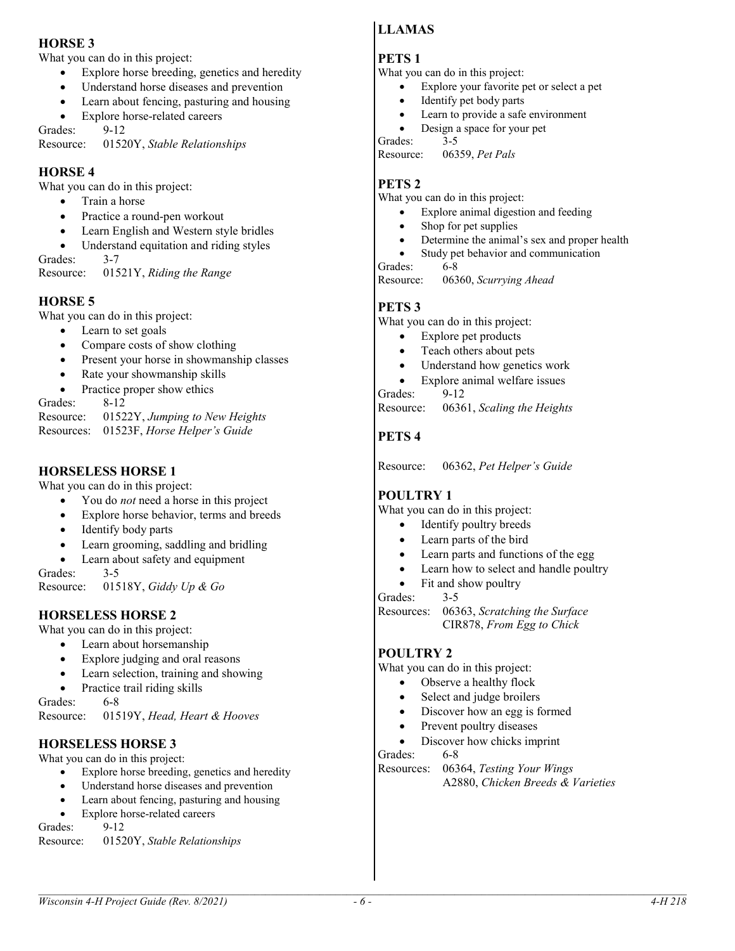#### **HORSE 3**

What you can do in this project:

- Explore horse breeding, genetics and heredity
- Understand horse diseases and prevention
- Learn about fencing, pasturing and housing
- Explore horse-related careers

Grades: 9-12

Resource: 01520Y, *Stable Relationships*

#### **HORSE 4**

What you can do in this project:

- Train a horse
- Practice a round-pen workout
- Learn English and Western style bridles
- Understand equitation and riding styles

Grades: 3-7

Resource: 01521Y, *Riding the Range*

#### **HORSE 5**

What you can do in this project:

- Learn to set goals
- Compare costs of show clothing
- Present your horse in showmanship classes
- Rate your showmanship skills
- Practice proper show ethics

Grades: 8-12 Resource: 01522Y, *Jumping to New Heights* Resources: 01523F, *Horse Helper's Guide*

#### **HORSELESS HORSE 1**

What you can do in this project:

- You do *not* need a horse in this project
- Explore horse behavior, terms and breeds
- Identify body parts
- Learn grooming, saddling and bridling
- Learn about safety and equipment

Grades: 3-5

Resource: 01518Y, *Giddy Up & Go*

#### **HORSELESS HORSE 2**

What you can do in this project:

- Learn about horsemanship
- Explore judging and oral reasons
- Learn selection, training and showing
- Practice trail riding skills

Grades: 6-8

Resource: 01519Y, *Head, Heart & Hooves*

#### **HORSELESS HORSE 3**

What you can do in this project:

- Explore horse breeding, genetics and heredity
- Understand horse diseases and prevention
- Learn about fencing, pasturing and housing
- Explore horse-related careers

Grades: 9-12

Resource: 01520Y, *Stable Relationships*

# **LLAMAS**

#### **PETS 1**

What you can do in this project:

- Explore your favorite pet or select a pet
- Identify pet body parts
- Learn to provide a safe environment
- Design a space for your pet

Grades:  $3-5$ 

Resource: 06359, *Pet Pals*

#### **PETS 2**

What you can do in this project:

- Explore animal digestion and feeding
- Shop for pet supplies
- Determine the animal's sex and proper health
- Study pet behavior and communication

Grades: 6-8

Resource: 06360, *Scurrying Ahead*

### **PETS 3**

What you can do in this project:

- Explore pet products
- Teach others about pets
- Understand how genetics work
- Explore animal welfare issues

Grades: 9-12

Resource: 06361, *Scaling the Heights*

### **PETS 4**

Resource: 06362, *Pet Helper's Guide*

#### **POULTRY 1**

What you can do in this project:

- Identify poultry breeds
	- Learn parts of the bird
- Learn parts and functions of the egg
- Learn how to select and handle poultry
- Fit and show poultry

Grades: 3-5

Resources: 06363, *Scratching the Surface* CIR878, *From Egg to Chick*

#### **POULTRY 2**

What you can do in this project:

- Observe a healthy flock
- Select and judge broilers
- Discover how an egg is formed
- Prevent poultry diseases
- Discover how chicks imprint

Grades: 6-8

Resources: 06364, *Testing Your Wings* A2880, *Chicken Breeds & Varieties*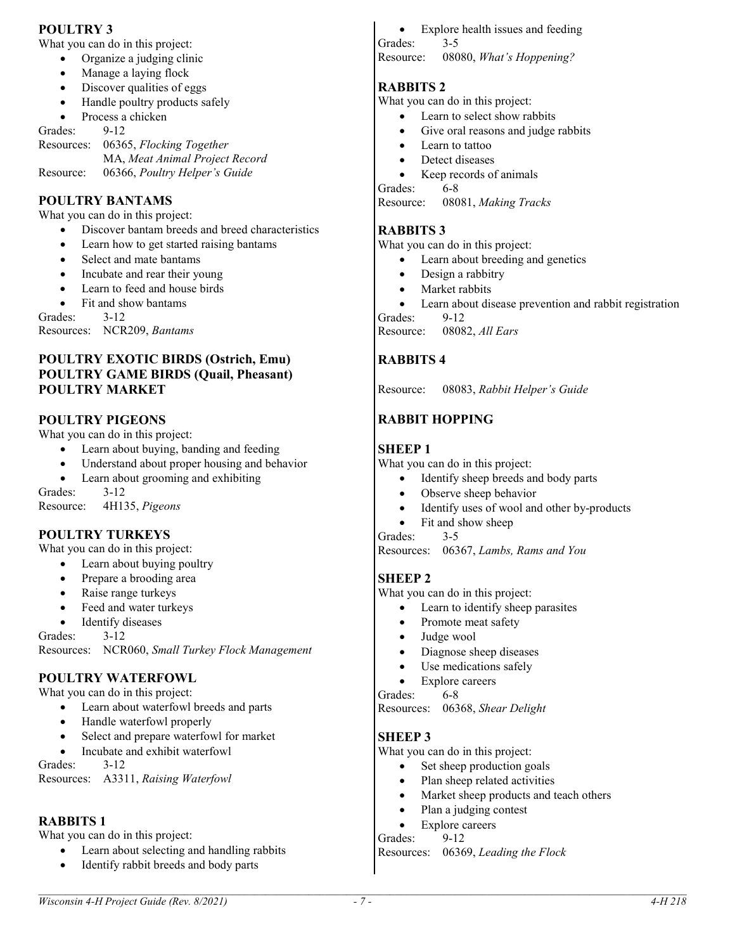#### **POULTRY 3**

What you can do in this project:

- Organize a judging clinic
- Manage a laying flock
- Discover qualities of eggs
- Handle poultry products safely
- Process a chicken

Grades: 9-12

Resources: 06365, *Flocking Together* MA, *Meat Animal Project Record* Resource: 06366, *Poultry Helper's Guide*

# **POULTRY BANTAMS**

What you can do in this project:

- Discover bantam breeds and breed characteristics
- Learn how to get started raising bantams
- Select and mate bantams
- Incubate and rear their young
- Learn to feed and house birds
- Fit and show bantams

Grades: 3-12

Resources: NCR209, *Bantams*

### **POULTRY EXOTIC BIRDS (Ostrich, Emu) POULTRY GAME BIRDS (Quail, Pheasant) POULTRY MARKET**

# **POULTRY PIGEONS**

What you can do in this project:

- Learn about buying, banding and feeding
- Understand about proper housing and behavior
- Learn about grooming and exhibiting

Grades: 3-12 Resource: 4H135, *Pigeons*

# **POULTRY TURKEYS**

What you can do in this project:

- Learn about buying poultry
- Prepare a brooding area
- Raise range turkeys
- Feed and water turkeys
- Identify diseases

Grades: 3-12

Resources: NCR060, *Small Turkey Flock Management*

# **POULTRY WATERFOWL**

What you can do in this project:

- Learn about waterfowl breeds and parts
	- Handle waterfowl properly
	- Select and prepare waterfowl for market
	- Incubate and exhibit waterfowl

Grades: 3-12

Resources: A3311, *Raising Waterfowl*

# **RABBITS 1**

What you can do in this project:

- Learn about selecting and handling rabbits
- Identify rabbit breeds and body parts

• Explore health issues and feeding Grades: 3-5 Resource: 08080, *What's Hoppening?*

**RABBITS 2**

What you can do in this project:

- Learn to select show rabbits
- Give oral reasons and judge rabbits
- Learn to tattoo
- Detect diseases
- Keep records of animals
- Grades: 6-8

Resource: 08081, *Making Tracks*

# **RABBITS 3**

What you can do in this project:

- Learn about breeding and genetics
- Design a rabbitry
- Market rabbits
- Learn about disease prevention and rabbit registration

Grades: 9-12

Resource: 08082, *All Ears*

# **RABBITS 4**

Resource: 08083, *Rabbit Helper's Guide*

# **RABBIT HOPPING**

#### **SHEEP 1**

What you can do in this project:

- Identify sheep breeds and body parts
- Observe sheep behavior
- Identify uses of wool and other by-products
- Fit and show sheep
- Grades: 3-5

Resources: 06367, *Lambs, Rams and You*

# **SHEEP 2**

What you can do in this project:

- Learn to identify sheep parasites
- Promote meat safety
- Judge wool
- Diagnose sheep diseases
- Use medications safely
- Explore careers

Grades: 6-8 Resources: 06368, *Shear Delight*

# **SHEEP 3**

What you can do in this project:

- Set sheep production goals
- Plan sheep related activities
- Market sheep products and teach others
- Plan a judging contest
- Explore careers  $9-12$

Grades: Resources: 06369, *Leading the Flock*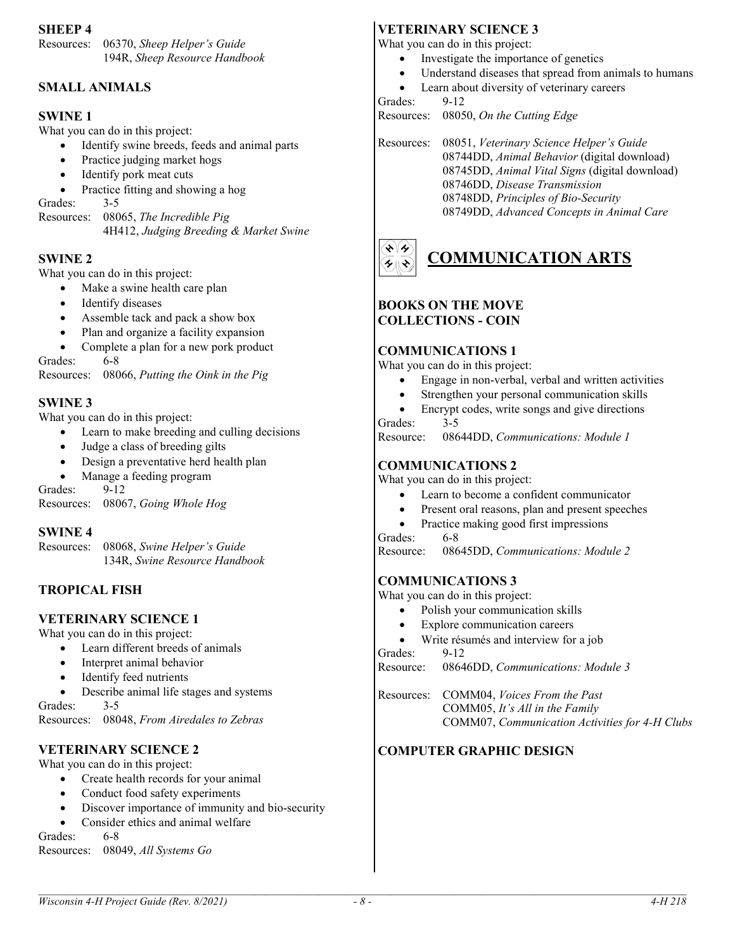#### **SHEEP 4**

| Resources: | 06370, Sheep Helper's Guide   |
|------------|-------------------------------|
|            | 194R, Sheep Resource Handbook |

#### **SMALL ANIMALS**

#### **SWINE 1**

What you can do in this project:

- Identify swine breeds, feeds and animal parts
- Practice judging market hogs
- Identify pork meat cuts
- Practice fitting and showing a hog

Grades: 3-5<br>Resources: 080 08065, *The Incredible Pig* 4H412, *Judging Breeding & Market Swine*

#### **SWINE 2**

What you can do in this project:

- Make a swine health care plan
- Identify diseases
- Assemble tack and pack a show box
- Plan and organize a facility expansion
- Complete a plan for a new pork product Grades: 6-8

Resources: 08066, *Putting the Oink in the Pig*

#### **SWINE 3**

What you can do in this project:

- Learn to make breeding and culling decisions
	- Judge a class of breeding gilts
	- Design a preventative herd health plan
- Manage a feeding program<br>9-12
- Grades:

Resources: 08067, *Going Whole Hog*

#### **SWINE 4**

Resources: 08068, *Swine Helper's Guide* 134R, *Swine Resource Handbook*

#### **TROPICAL FISH**

#### **VETERINARY SCIENCE 1**

What you can do in this project:

- Learn different breeds of animals
- Interpret animal behavior
- Identify feed nutrients

• Describe animal life stages and systems

Grades: 3-5

Resources: 08048, *From Airedales to Zebras*

#### **VETERINARY SCIENCE 2**

What you can do in this project:

- Create health records for your animal
- Conduct food safety experiments
- Discover importance of immunity and bio-security
- Consider ethics and animal welfare

Grades: 6-8

Resources: 08049, *All Systems Go*

### **VETERINARY SCIENCE 3**

What you can do in this project:

- Investigate the importance of genetics
- Understand diseases that spread from animals to humans
- Learn about diversity of veterinary careers

Grades: 9-12<br>Resources: 0805

08050, *On the Cutting Edge* 

Resources: 08051, *Veterinary Science Helper's Guide* 08744DD, *Animal Behavior* (digital download) 08745DD, *Animal Vital Signs* (digital download) 08746DD, *Disease Transmission* 08748DD, *Principles of Bio-Security* 08749DD, *Advanced Concepts in Animal Care*



#### **BOOKS ON THE MOVE COLLECTIONS - COIN**

#### **COMMUNICATIONS 1**

What you can do in this project:

- Engage in non-verbal, verbal and written activities
- Strengthen your personal communication skills
- Encrypt codes, write songs and give directions Grades:  $3-5$

Resource: 08644DD, *Communications: Module 1*

# **COMMUNICATIONS 2**

What you can do in this project:

- Learn to become a confident communicator
- Present oral reasons, plan and present speeches
- Practice making good first impressions

Grades: 6-8

Resource: 08645DD, *Communications: Module 2*

# **COMMUNICATIONS 3**

What you can do in this project:

- Polish your communication skills
- Explore communication careers
- Write résumés and interview for a job

Grades: 9-12

Resource: 08646DD, *Communications: Module 3*

Resources: COMM04, *Voices From the Past* COMM05, *It's All in the Family* COMM07, *Communication Activities for 4-H Clubs*

#### **COMPUTER GRAPHIC DESIGN**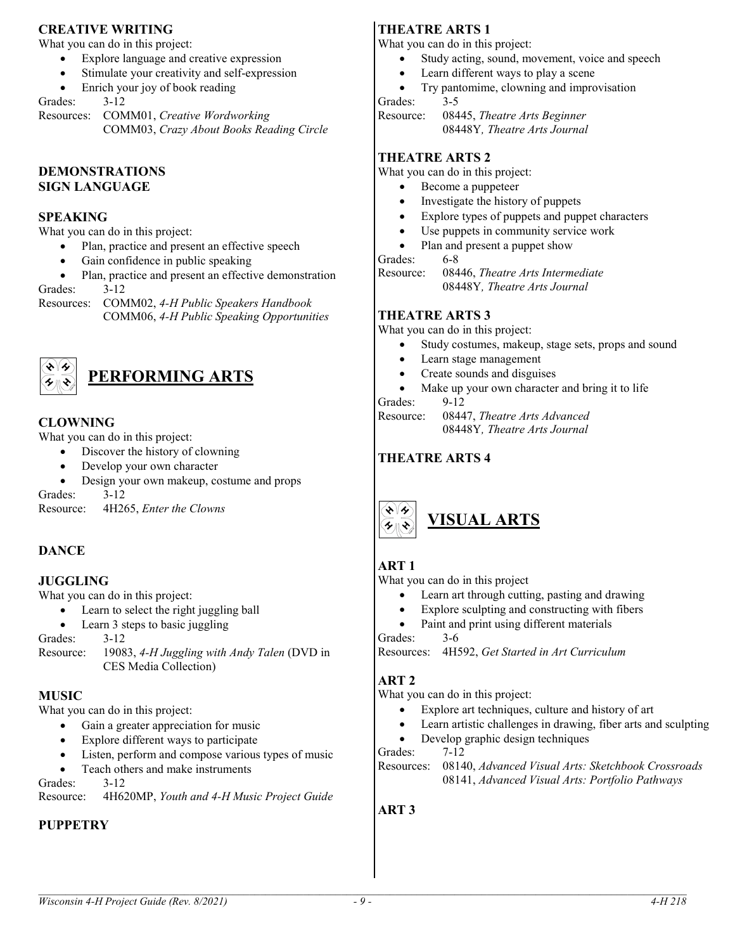#### **CREATIVE WRITING**

What you can do in this project:

- Explore language and creative expression
- Stimulate your creativity and self-expression
- Enrich your joy of book reading

Grades: 3-12

Resources: COMM01, *Creative Wordworking* COMM03, *Crazy About Books Reading Circle*

# **DEMONSTRATIONS**

# **SIGN LANGUAGE**

#### **SPEAKING**

What you can do in this project:

- Plan, practice and present an effective speech
- Gain confidence in public speaking

Plan, practice and present an effective demonstration Grades: 3-12

Resources: COMM02, *4-H Public Speakers Handbook* COMM06, *4-H Public Speaking Opportunities*



# **PERFORMING ARTS**

### **CLOWNING**

What you can do in this project:

- Discover the history of clowning
- Develop your own character
- Design your own makeup, costume and props

Grades: 3-12

Resource: 4H265, *Enter the Clowns*

#### **DANCE**

#### **JUGGLING**

What you can do in this project:

- Learn to select the right juggling ball
- Learn 3 steps to basic juggling

Grades: 3-12

Resource: 19083, *4-H Juggling with Andy Talen* (DVD in CES Media Collection)

#### **MUSIC**

What you can do in this project:

- Gain a greater appreciation for music
- Explore different ways to participate
- Listen, perform and compose various types of music
- Teach others and make instruments

Grades: 3-12

Resource: 4H620MP, *Youth and 4-H Music Project Guide*

#### **PUPPETRY**

### **THEATRE ARTS 1**

What you can do in this project:

- Study acting, sound, movement, voice and speech
- Learn different ways to play a scene
- Try pantomime, clowning and improvisation Grades:  $3-5$ <br>Resource: 084
- 08445, *Theatre Arts Beginner* 08448Y*, Theatre Arts Journal*

#### **THEATRE ARTS 2**

What you can do in this project:

- Become a puppeteer
- Investigate the history of puppets
- Explore types of puppets and puppet characters
- Use puppets in community service work
- Plan and present a puppet show

Grades: 6-8

Resource: 08446, *Theatre Arts Intermediate* 08448Y*, Theatre Arts Journal*

#### **THEATRE ARTS 3**

What you can do in this project:

- Study costumes, makeup, stage sets, props and sound
- Learn stage management
- Create sounds and disguises
- Make up your own character and bring it to life

Grades: 9-12

Resource: 08447, *Theatre Arts Advanced* 08448Y*, Theatre Arts Journal*

# **THEATRE ARTS 4**



# **ART 1**

What you can do in this project

- Learn art through cutting, pasting and drawing
- Explore sculpting and constructing with fibers
- Paint and print using different materials

Grades: 3-6

Resources: 4H592, *Get Started in Art Curriculum*

#### **ART 2**

What you can do in this project:

- Explore art techniques, culture and history of art
- Learn artistic challenges in drawing, fiber arts and sculpting
- Develop graphic design techniques

Grades: 7-12

Resources: 08140, *Advanced Visual Arts: Sketchbook Crossroads* 08141, *Advanced Visual Arts: Portfolio Pathways*

# **ART 3**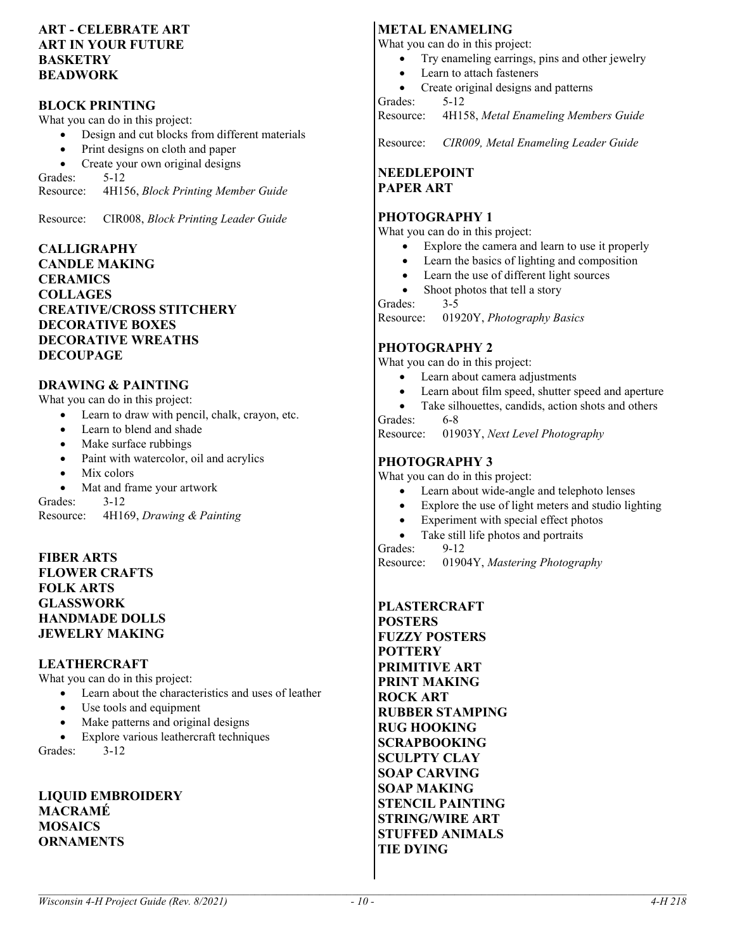#### **ART - CELEBRATE ART ART IN YOUR FUTURE BASKETRY BEADWORK**

#### **BLOCK PRINTING**

What you can do in this project:

- Design and cut blocks from different materials
- Print designs on cloth and paper
- Create your own original designs

Grades: 5-12

Resource: 4H156, *Block Printing Member Guide*

Resource: CIR008, *Block Printing Leader Guide*

**CALLIGRAPHY CANDLE MAKING CERAMICS COLLAGES CREATIVE/CROSS STITCHERY DECORATIVE BOXES DECORATIVE WREATHS DECOUPAGE**

#### **DRAWING & PAINTING**

What you can do in this project:

- Learn to draw with pencil, chalk, crayon, etc.
- Learn to blend and shade
- Make surface rubbings
- Paint with watercolor, oil and acrylics
- Mix colors
- Mat and frame your artwork<br> $3-12$

Grades:

Resource: 4H169, *Drawing & Painting*

**FIBER ARTS FLOWER CRAFTS FOLK ARTS GLASSWORK HANDMADE DOLLS JEWELRY MAKING**

#### **LEATHERCRAFT**

What you can do in this project:

- Learn about the characteristics and uses of leather
- Use tools and equipment
- Make patterns and original designs
- Explore various leathercraft techniques

Grades: 3-12

**LIQUID EMBROIDERY MACRAMÉ MOSAICS ORNAMENTS**

#### **METAL ENAMELING**

What you can do in this project:

- Try enameling earrings, pins and other jewelry
- Learn to attach fasteners
- Create original designs and patterns

Grades: 5-12<br>Resource: 4H1:

Resource: 4H158, *Metal Enameling Members Guide*

Resource: *CIR009, Metal Enameling Leader Guide*

#### **NEEDLEPOINT PAPER ART**

#### **PHOTOGRAPHY 1**

What you can do in this project:

- Explore the camera and learn to use it properly
- Learn the basics of lighting and composition
- Learn the use of different light sources
- Shoot photos that tell a story  $3-5$

Grades:

Resource: 01920Y, *Photography Basics*

#### **PHOTOGRAPHY 2**

What you can do in this project:

- Learn about camera adjustments
- Learn about film speed, shutter speed and aperture
- Take silhouettes, candids, action shots and others Grades: 6-8

Resource: 01903Y, *Next Level Photography*

#### **PHOTOGRAPHY 3**

What you can do in this project:

- Learn about wide-angle and telephoto lenses
- Explore the use of light meters and studio lighting
- Experiment with special effect photos
- Take still life photos and portraits

Grades: 9-12

Resource: 01904Y, *Mastering Photography*

**PLASTERCRAFT POSTERS**

**FUZZY POSTERS POTTERY PRIMITIVE ART PRINT MAKING ROCK ART RUBBER STAMPING RUG HOOKING SCRAPBOOKING SCULPTY CLAY SOAP CARVING SOAP MAKING STENCIL PAINTING STRING/WIRE ART STUFFED ANIMALS TIE DYING**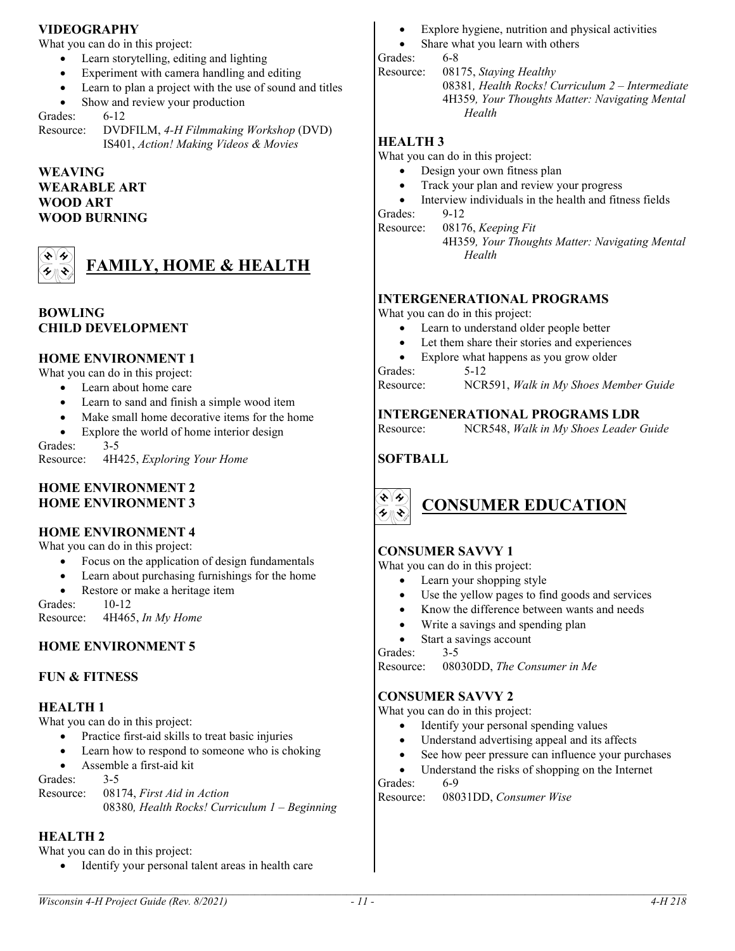#### **VIDEOGRAPHY**

What you can do in this project:

- Learn storytelling, editing and lighting
- Experiment with camera handling and editing
- Learn to plan a project with the use of sound and titles
- Show and review your production

Grades: 6-12

Resource: DVDFILM, *4-H Filmmaking Workshop* (DVD) IS401, *Action! Making Videos & Movies*

#### **WEAVING WEARABLE ART WOOD ART WOOD BURNING**



# **FAMILY, HOME & HEALTH**

#### **BOWLING CHILD DEVELOPMENT**

#### **HOME ENVIRONMENT 1**

What you can do in this project:

- Learn about home care
- Learn to sand and finish a simple wood item
- Make small home decorative items for the home
- Explore the world of home interior design

Grades: 3-5

Resource: 4H425, *Exploring Your Home*

#### **HOME ENVIRONMENT 2 HOME ENVIRONMENT 3**

#### **HOME ENVIRONMENT 4**

What you can do in this project:

- Focus on the application of design fundamentals
- Learn about purchasing furnishings for the home
- Restore or make a heritage item  $10-12$

Grades:

Resource: 4H465, *In My Home*

#### **HOME ENVIRONMENT 5**

#### **FUN & FITNESS**

#### **HEALTH 1**

What you can do in this project:

- Practice first-aid skills to treat basic injuries
- Learn how to respond to someone who is choking
- Assemble a first-aid kit

Grades: 3-5

Resource: 08174, *First Aid in Action* 08380*, Health Rocks! Curriculum 1 – Beginning* 

#### **HEALTH 2**

What you can do in this project:

• Identify your personal talent areas in health care

- Explore hygiene, nutrition and physical activities
- Share what you learn with others

Grades: 6-8

Resource: 08175, *Staying Healthy* 08381*, Health Rocks! Curriculum 2 – Intermediate* 4H359*, Your Thoughts Matter: Navigating Mental Health*

#### **HEALTH 3**

What you can do in this project:

- Design your own fitness plan
- Track your plan and review your progress
- Interview individuals in the health and fitness fields

Grades: 9-12

Resource: 08176, *Keeping Fit* 4H359*, Your Thoughts Matter: Navigating Mental Health*

### **INTERGENERATIONAL PROGRAMS**

What you can do in this project:

- Learn to understand older people better
- Let them share their stories and experiences
- Explore what happens as you grow older

Grades: 5-12

Resource: NCR591, *Walk in My Shoes Member Guide*

#### **INTERGENERATIONAL PROGRAMS LDR**

Resource: NCR548, *Walk in My Shoes Leader Guide*

# **SOFTBALL**



# **CONSUMER EDUCATION**

# **CONSUMER SAVVY 1**

What you can do in this project:

- Learn your shopping style
- Use the yellow pages to find goods and services
- Know the difference between wants and needs
- Write a savings and spending plan
- Start a savings account

#### Grades: 3-5

Resource: 08030DD, *The Consumer in Me*

#### **CONSUMER SAVVY 2**

What you can do in this project:

- Identify your personal spending values
- Understand advertising appeal and its affects
- See how peer pressure can influence your purchases
- Understand the risks of shopping on the Internet Grades: 6-9

Resource: 08031DD, *Consumer Wise*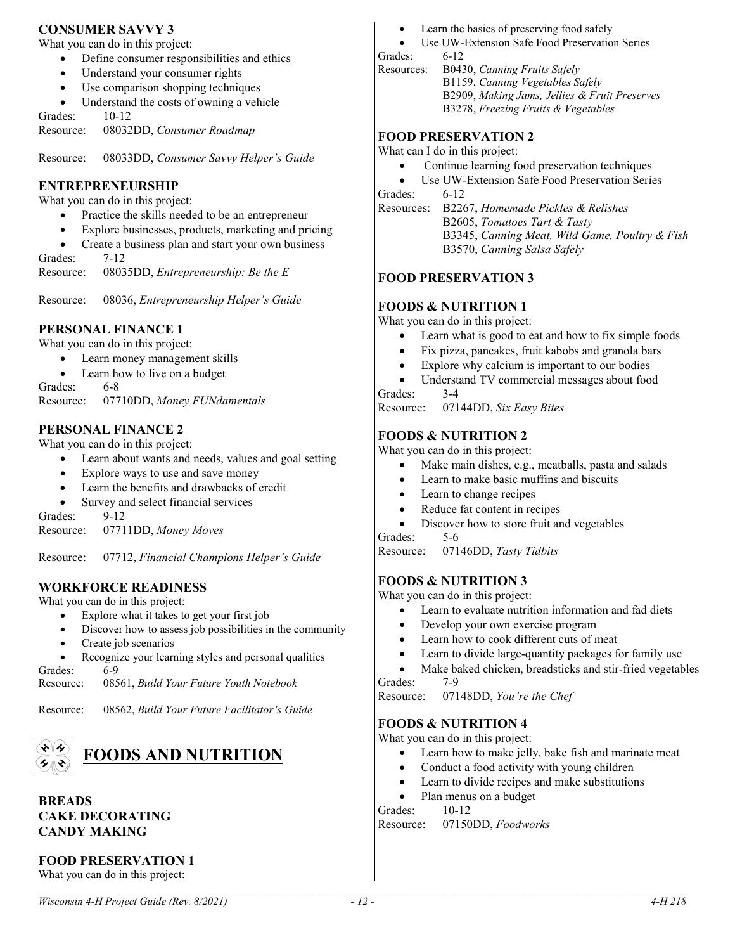#### **CONSUMER SAVVY 3**

What you can do in this project:

- Define consumer responsibilities and ethics
- Understand your consumer rights
- Use comparison shopping techniques
- Understand the costs of owning a vehicle

Grades: 10-12

Resource: 08032DD, *Consumer Roadmap*

Resource: 08033DD, *Consumer Savvy Helper's Guide*

#### **ENTREPRENEURSHIP**

What you can do in this project:

- Practice the skills needed to be an entrepreneur
- Explore businesses, products, marketing and pricing

• Create a business plan and start your own business Grades: 7-12

Resource: 08035DD, *Entrepreneurship: Be the E*

Resource: 08036, *Entrepreneurship Helper's Guide*

#### **PERSONAL FINANCE 1**

What you can do in this project:

- Learn money management skills
- Learn how to live on a budget

Grades: 6-8

Resource: 07710DD, *Money FUNdamentals*

### **PERSONAL FINANCE 2**

What you can do in this project:

- Learn about wants and needs, values and goal setting
- Explore ways to use and save money
- Learn the benefits and drawbacks of credit
- Survey and select financial services

Grades: 9-12

Resource: 07711DD, *Money Moves*

Resource: 07712, *Financial Champions Helper's Guide*

#### **WORKFORCE READINESS**

What you can do in this project:

- Explore what it takes to get your first job
- Discover how to assess job possibilities in the community
- Create job scenarios
- Recognize your learning styles and personal qualities

Grades: 6-9

Resource: 08561, *Build Your Future Youth Notebook*

Resource: 08562, *Build Your Future Facilitator's Guide*



#### **BREADS CAKE DECORATING CANDY MAKING**

# **FOOD PRESERVATION 1**

What you can do in this project:

- Learn the basics of preserving food safely
- Use UW-Extension Safe Food Preservation Series
- Grades: 6-12
- Resources: B0430, *Canning Fruits Safely*
	- B1159, *Canning Vegetables Safely* B2909, *Making Jams, Jellies & Fruit Preserves*
	- B3278, *Freezing Fruits & Vegetables*

#### **FOOD PRESERVATION 2**

#### What can I do in this project:

- Continue learning food preservation techniques
- Use UW-Extension Safe Food Preservation Series Grades: 6-12
- Resources: B2267, *Homemade Pickles & Relishes* B2605, *Tomatoes Tart & Tasty* B3345, *Canning Meat, Wild Game, Poultry & Fish* B3570, *Canning Salsa Safely*

#### **FOOD PRESERVATION 3**

#### **FOODS & NUTRITION 1**

What you can do in this project:

- Learn what is good to eat and how to fix simple foods
- Fix pizza, pancakes, fruit kabobs and granola bars
- Explore why calcium is important to our bodies
- Understand TV commercial messages about food

Resource: 07144DD, *Six Easy Bites*

#### **FOODS & NUTRITION 2**

What you can do in this project:

- Make main dishes, e.g., meatballs, pasta and salads
- Learn to make basic muffins and biscuits
- Learn to change recipes
- Reduce fat content in recipes
- Discover how to store fruit and vegetables

Grades: 5-6

Grades: 3-4

Resource: 07146DD, *Tasty Tidbits*

#### **FOODS & NUTRITION 3**

What you can do in this project:

- Learn to evaluate nutrition information and fad diets
- Develop your own exercise program
- Learn how to cook different cuts of meat
- Learn to divide large-quantity packages for family use
- Make baked chicken, breadsticks and stir-fried vegetables

Grades: 7-9

Resource: 07148DD, *You're the Chef*

#### **FOODS & NUTRITION 4**

What you can do in this project:

- Learn how to make jelly, bake fish and marinate meat
- Conduct a food activity with young children
- Learn to divide recipes and make substitutions
- Plan menus on a budget

Grades: 10-12

Resource: 07150DD, *Foodworks*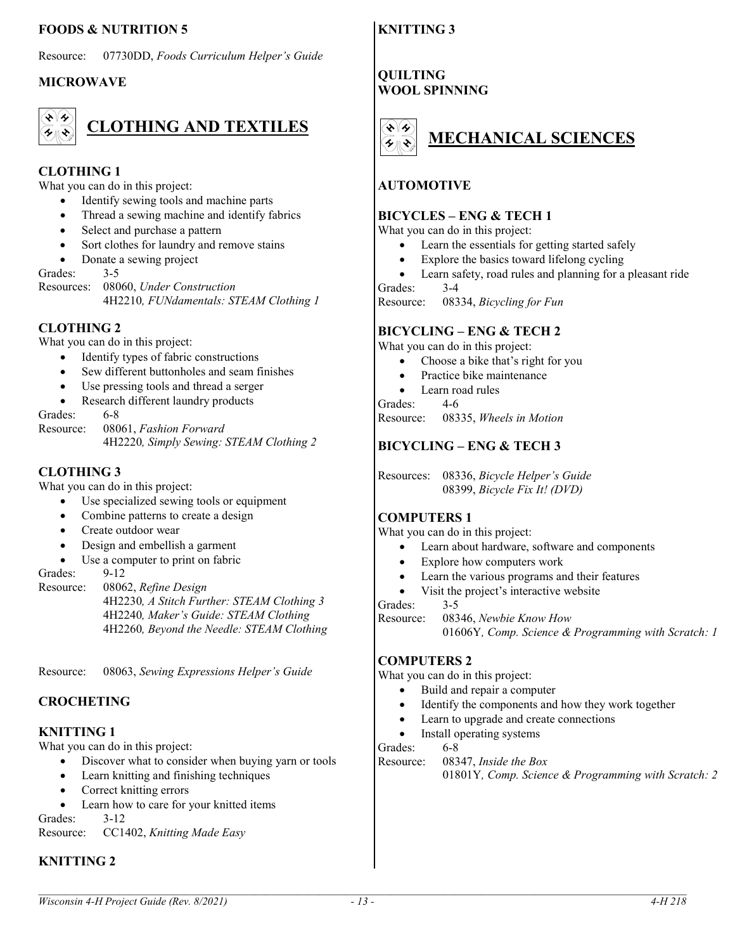#### **FOODS & NUTRITION 5**

Resource: 07730DD, *Foods Curriculum Helper's Guide*

#### **MICROWAVE**



# **CLOTHING AND TEXTILES**

#### **CLOTHING 1**

What you can do in this project:

- Identify sewing tools and machine parts
- Thread a sewing machine and identify fabrics
- Select and purchase a pattern
- Sort clothes for laundry and remove stains
- Donate a sewing project

Grades: 3-5

Resources: 08060, *Under Construction* 4H2210*, FUNdamentals: STEAM Clothing 1*

#### **CLOTHING 2**

What you can do in this project:

- Identify types of fabric constructions
- Sew different buttonholes and seam finishes
- Use pressing tools and thread a serger
- Research different laundry products

Grades: 6-8

Resource: 08061, *Fashion Forward* 4H2220*, Simply Sewing: STEAM Clothing 2*

### **CLOTHING 3**

What you can do in this project:

- Use specialized sewing tools or equipment
- Combine patterns to create a design
- Create outdoor wear
- Design and embellish a garment
- Use a computer to print on fabric

Grades: 9-12

Resource: 08062, *Refine Design* 4H2230*, A Stitch Further: STEAM Clothing 3* 4H2240*, Maker's Guide: STEAM Clothing* 4H2260*, Beyond the Needle: STEAM Clothing*

Resource: 08063, *Sewing Expressions Helper's Guide*

#### **CROCHETING**

#### **KNITTING 1**

What you can do in this project:

- Discover what to consider when buying yarn or tools
- Learn knitting and finishing techniques
- Correct knitting errors
- Learn how to care for your knitted items

Grades: 3-12

Resource: CC1402, *Knitting Made Easy*

#### **KNITTING 2**

**KNITTING 3**

**QUILTING WOOL SPINNING**



#### **AUTOMOTIVE**

#### **BICYCLES – ENG & TECH 1**

What you can do in this project:

- Learn the essentials for getting started safely
- Explore the basics toward lifelong cycling
- Learn safety, road rules and planning for a pleasant ride

Grades: 3-4

Resource: 08334, *Bicycling for Fun*

#### **BICYCLING – ENG & TECH 2**

What you can do in this project:

- Choose a bike that's right for you
- Practice bike maintenance
- Learn road rules
- Grades: 4-6

Resource: 08335, *Wheels in Motion*

# **BICYCLING – ENG & TECH 3**

Resources: 08336, *Bicycle Helper's Guide* 08399, *Bicycle Fix It! (DVD)*

#### **COMPUTERS 1**

What you can do in this project:

- Learn about hardware, software and components
- Explore how computers work
- Learn the various programs and their features
- Visit the project's interactive website

Grades: 3-5

Resource: 08346, *Newbie Know How* 01606Y*, Comp. Science & Programming with Scratch: 1*

#### **COMPUTERS 2**

What you can do in this project:

- Build and repair a computer
- Identify the components and how they work together
- Learn to upgrade and create connections
- Install operating systems

Grades: 6-8

Resource: 08347, *Inside the Box*

01801Y*, Comp. Science & Programming with Scratch: 2*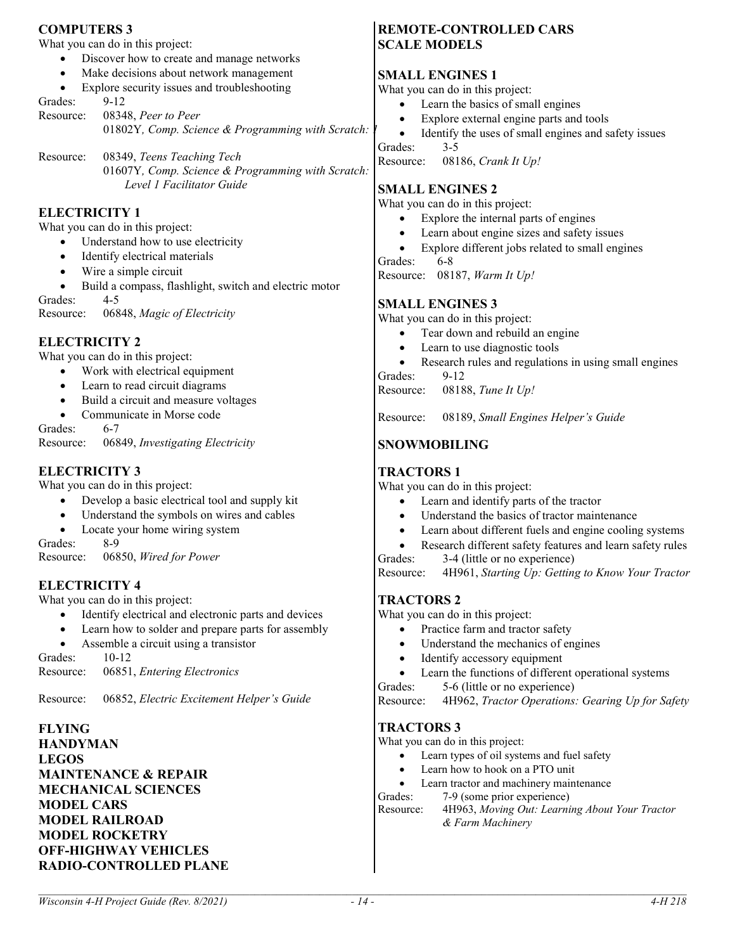#### **COMPUTERS 3**

What you can do in this project:

- Discover how to create and manage networks
- Make decisions about network management
- Explore security issues and troubleshooting Grades: 9-12

Resource: 08348, *Peer to Peer* 01802Y*, Comp. Science & Programming with Scratch: 1*

Resource: 08349, *Teens Teaching Tech* 01607Y*, Comp. Science & Programming with Scratch: Level 1 Facilitator Guide*

#### **ELECTRICITY 1**

What you can do in this project:

- Understand how to use electricity
- Identify electrical materials
- Wire a simple circuit
- Build a compass, flashlight, switch and electric motor

Grades: 4-5

Resource: 06848, *Magic of Electricity*

#### **ELECTRICITY 2**

What you can do in this project:

- Work with electrical equipment
- Learn to read circuit diagrams
- Build a circuit and measure voltages
- Communicate in Morse code<br>6-7
- Grades:

Resource: 06849, *Investigating Electricity*

### **ELECTRICITY 3**

What you can do in this project:

- Develop a basic electrical tool and supply kit
- Understand the symbols on wires and cables
- Locate your home wiring system

Grades: 8-9

Resource: 06850, *Wired for Power*

# **ELECTRICITY 4**

What you can do in this project:

- Identify electrical and electronic parts and devices
- Learn how to solder and prepare parts for assembly
- Assemble a circuit using a transistor

Grades: 10-12

Resource: 06851, *Entering Electronics*

Resource: 06852, *Electric Excitement Helper's Guide*

**FLYING HANDYMAN LEGOS MAINTENANCE & REPAIR MECHANICAL SCIENCES MODEL CARS MODEL RAILROAD MODEL ROCKETRY OFF-HIGHWAY VEHICLES RADIO-CONTROLLED PLANE**

#### **REMOTE-CONTROLLED CARS SCALE MODELS**

# **SMALL ENGINES 1**

What you can do in this project:

- Learn the basics of small engines
- Explore external engine parts and tools
- Identify the uses of small engines and safety issues Grades: 3-5

Resource: 08186, *Crank It Up!*

#### **SMALL ENGINES 2**

What you can do in this project:

- Explore the internal parts of engines
- Learn about engine sizes and safety issues
- Explore different jobs related to small engines

Grades: 6-8

Resource: 08187, *Warm It Up!*

#### **SMALL ENGINES 3**

What you can do in this project:

- Tear down and rebuild an engine
- Learn to use diagnostic tools
- Research rules and regulations in using small engines

Grades: 9-12

Resource: 08188, *Tune It Up!*

Resource: 08189, *Small Engines Helper's Guide*

#### **SNOWMOBILING**

#### **TRACTORS 1**

What you can do in this project:

- Learn and identify parts of the tractor
- Understand the basics of tractor maintenance
- Learn about different fuels and engine cooling systems
- Research different safety features and learn safety rules
- Grades:  $3-4$  (little or no experience)

Resource: 4H961, *Starting Up: Getting to Know Your Tractor*

#### **TRACTORS 2**

What you can do in this project:

- Practice farm and tractor safety
- Understand the mechanics of engines
- Identify accessory equipment
- Learn the functions of different operational systems Grades:  $5-6$  (little or no experience)
	- 5-6 (little or no experience)

Resource: 4H962, *Tractor Operations: Gearing Up for Safety*

#### **TRACTORS 3**

What you can do in this project:

- Learn types of oil systems and fuel safety
- Learn how to hook on a PTO unit
- Learn tractor and machinery maintenance
- Grades: 7-9 (some prior experience)
- Resource: 4H963, *Moving Out: Learning About Your Tractor & Farm Machinery*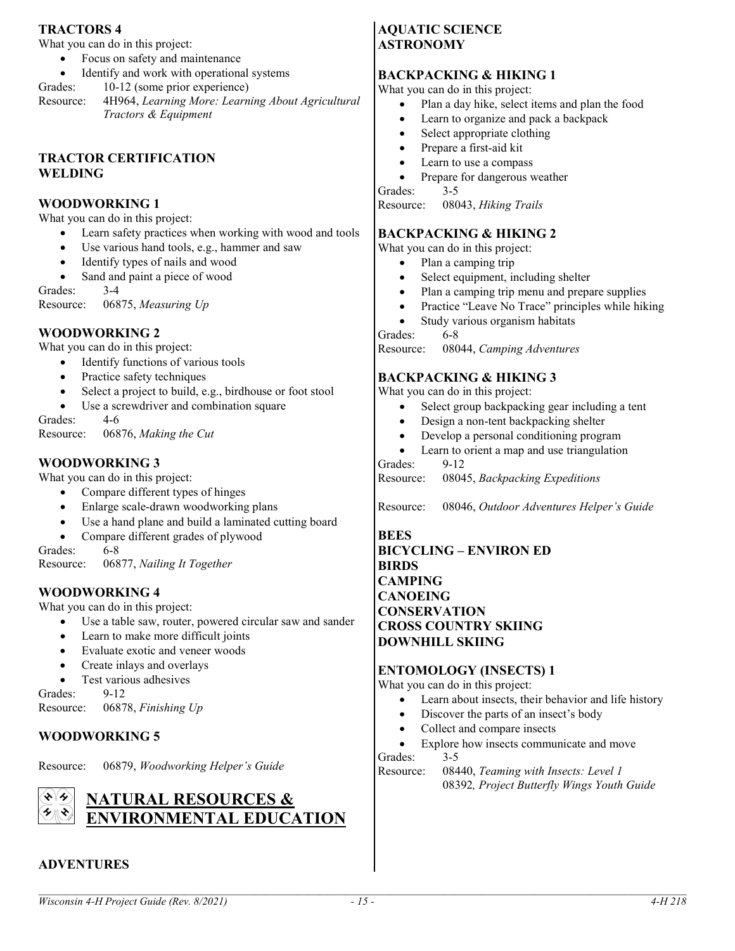#### **TRACTORS 4**

What you can do in this project:

- Focus on safety and maintenance
- Identify and work with operational systems
- Grades: 10-12 (some prior experience)
- Resource: 4H964, *Learning More: Learning About Agricultural Tractors & Equipment*

#### **TRACTOR CERTIFICATION WELDING**

#### **WOODWORKING 1**

What you can do in this project:

- Learn safety practices when working with wood and tools
- Use various hand tools, e.g., hammer and saw
- Identify types of nails and wood
- Sand and paint a piece of wood

Grades: 3-4

Resource: 06875, *Measuring Up*

#### **WOODWORKING 2**

What you can do in this project:

- Identify functions of various tools
- Practice safety techniques
- Select a project to build, e.g., birdhouse or foot stool
- Use a screwdriver and combination square

Grades: 4-6

Resource: 06876, *Making the Cut*

#### **WOODWORKING 3**

What you can do in this project:

- Compare different types of hinges
- Enlarge scale-drawn woodworking plans
- Use a hand plane and build a laminated cutting board
- Compare different grades of plywood<br>6-8

Grades:

Resource: 06877, *Nailing It Together*

#### **WOODWORKING 4**

What you can do in this project:

- Use a table saw, router, powered circular saw and sander
- Learn to make more difficult joints
- Evaluate exotic and veneer woods
- Create inlays and overlays
- Test various adhesives

Grades: 9-12

Resource: 06878, *Finishing Up*

# **WOODWORKING 5**

Resource: 06879, *Woodworking Helper's Guide*

#### ৻ৡ৾∣৵ **NATURAL RESOURCES &** ゞ **ENVIRONMENTAL EDUCATION**

#### **ADVENTURES**

#### **AQUATIC SCIENCE ASTRONOMY**

#### **BACKPACKING & HIKING 1**

What you can do in this project:

- Plan a day hike, select items and plan the food
- Learn to organize and pack a backpack
- Select appropriate clothing
- Prepare a first-aid kit
- Learn to use a compass
- Prepare for dangerous weather
- Grades: 3-5

Resource: 08043, *Hiking Trails*

#### **BACKPACKING & HIKING 2**

What you can do in this project:

- Plan a camping trip
- Select equipment, including shelter
- Plan a camping trip menu and prepare supplies
- Practice "Leave No Trace" principles while hiking
- Study various organism habitats
- Grades: 6-8

Resource: 08044, *Camping Adventures*

#### **BACKPACKING & HIKING 3**

What you can do in this project:

- Select group backpacking gear including a tent
- Design a non-tent backpacking shelter
- Develop a personal conditioning program
- Learn to orient a map and use triangulation

Grades: 9-12

Resource: 08045, *Backpacking Expeditions*

Resource: 08046, *Outdoor Adventures Helper's Guide*

**BEES BICYCLING – ENVIRON ED BIRDS CAMPING CANOEING CONSERVATION CROSS COUNTRY SKIING DOWNHILL SKIING**

#### **ENTOMOLOGY (INSECTS) 1**

What you can do in this project:

- Learn about insects, their behavior and life history
- Discover the parts of an insect's body
- Collect and compare insects
- Explore how insects communicate and move

Grades: 3-5

Resource: 08440, *Teaming with Insects: Level 1* 08392*, Project Butterfly Wings Youth Guide*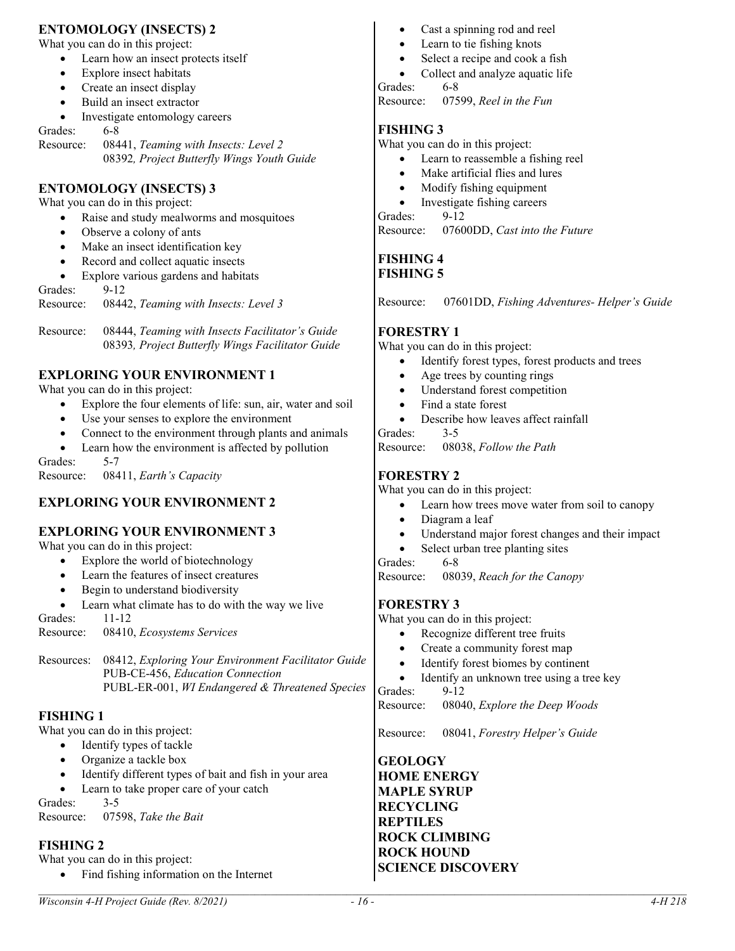#### **ENTOMOLOGY (INSECTS) 2**

What you can do in this project:

- Learn how an insect protects itself
- **Explore** insect habitats
- Create an insect display
- Build an insect extractor
- Investigate entomology careers

Grades: 6-8

Resource: 08441, *Teaming with Insects: Level 2* 08392*, Project Butterfly Wings Youth Guide*

# **ENTOMOLOGY (INSECTS) 3**

What you can do in this project:

- Raise and study mealworms and mosquitoes
- Observe a colony of ants
- Make an insect identification key
- Record and collect aquatic insects
- Explore various gardens and habitats

Grades: 9-12

Resource: 08442, *Teaming with Insects: Level 3*

Resource: 08444, *Teaming with Insects Facilitator's Guide* 08393*, Project Butterfly Wings Facilitator Guide*

#### **EXPLORING YOUR ENVIRONMENT 1**

What you can do in this project:

- Explore the four elements of life: sun, air, water and soil
- Use your senses to explore the environment
- Connect to the environment through plants and animals
- Learn how the environment is affected by pollution

Grades: 5-7

Resource: 08411, *Earth's Capacity*

# **EXPLORING YOUR ENVIRONMENT 2**

# **EXPLORING YOUR ENVIRONMENT 3**

What you can do in this project:

- Explore the world of biotechnology
- Learn the features of insect creatures
- Begin to understand biodiversity
- Learn what climate has to do with the way we live

Grades: 11-12

Resource: 08410, *Ecosystems Services*

Resources: 08412, *Exploring Your Environment Facilitator Guide* PUB-CE-456, *Education Connection* PUBL-ER-001, *WI Endangered & Threatened Species*

#### **FISHING 1**

What you can do in this project:

- Identify types of tackle
- Organize a tackle box
- Identify different types of bait and fish in your area
- Learn to take proper care of your catch

Grades: 3-5

Resource: 07598, *Take the Bait*

# **FISHING 2**

What you can do in this project:

• Find fishing information on the Internet

- Cast a spinning rod and reel
- Learn to tie fishing knots
- Select a recipe and cook a fish
- Collect and analyze aquatic life

Grades: 6-8

Resource: 07599, *Reel in the Fun*

#### **FISHING 3**

What you can do in this project:

- Learn to reassemble a fishing reel
- Make artificial flies and lures
- Modify fishing equipment
- Investigate fishing careers

Grades: 9-12

Resource: 07600DD, *Cast into the Future*

# **FISHING 4 FISHING 5**

Resource: 07601DD, *Fishing Adventures- Helper's Guide*

#### **FORESTRY 1**

What you can do in this project:

- Identify forest types, forest products and trees
- Age trees by counting rings
- Understand forest competition
- Find a state forest
- Describe how leaves affect rainfall<br>3-5

Grades:

Resource: 08038, *Follow the Path*

#### **FORESTRY 2**

What you can do in this project:

- Learn how trees move water from soil to canopy
- Diagram a leaf
- Understand major forest changes and their impact
- Select urban tree planting sites
- Grades: 6-8

Resource: 08039, *Reach for the Canopy*

# **FORESTRY 3**

What you can do in this project:

- Recognize different tree fruits
- Create a community forest map
- Identify forest biomes by continent
- Identify an unknown tree using a tree key
- Grades: 9-12 Resource: 08040, *Explore the Deep Woods*

Resource: 08041, *Forestry Helper's Guide*

**GEOLOGY HOME ENERGY MAPLE SYRUP RECYCLING REPTILES ROCK CLIMBING ROCK HOUND SCIENCE DISCOVERY**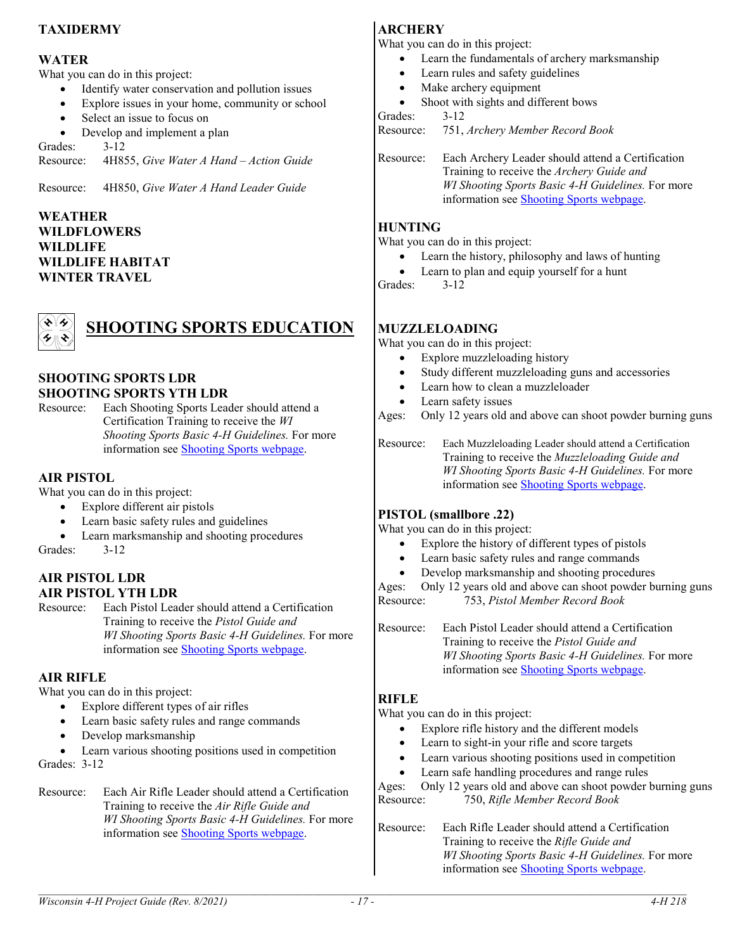# **TAXIDERMY**

#### **WATER**

What you can do in this project:

- Identify water conservation and pollution issues
- Explore issues in your home, community or school
- Select an issue to focus on
- Develop and implement a plan  $3-12$

Grades:

Resource: 4H855, *Give Water A Hand – Action Guide*

Resource: 4H850, *Give Water A Hand Leader Guide*

#### **WEATHER WILDFLOWERS WILDLIFE WILDLIFE HABITAT WINTER TRAVEL**



# **SHOOTING SPORTS EDUCATION**

#### **SHOOTING SPORTS LDR SHOOTING SPORTS YTH LDR**

Resource: Each Shooting Sports Leader should attend a Certification Training to receive the *WI Shooting Sports Basic 4-H Guidelines.* For more information see [Shooting Sports webpage.](https://fyi.extension.wisc.edu/4h-ext/opportunities/projects/shooting-sports/)

#### **AIR PISTOL**

What you can do in this project:

- Explore different air pistols
- Learn basic safety rules and guidelines
- Learn marksmanship and shooting procedures

Grades: 3-12

#### **AIR PISTOL LDR AIR PISTOL YTH LDR**

Resource: Each Pistol Leader should attend a Certification Training to receive the *Pistol Guide and WI Shooting Sports Basic 4-H Guidelines.* For more information see [Shooting Sports webpage.](https://fyi.extension.wisc.edu/4h-ext/opportunities/projects/shooting-sports/)

# **AIR RIFLE**

What you can do in this project:

- Explore different types of air rifles
- Learn basic safety rules and range commands
- Develop marksmanship

Learn various shooting positions used in competition Grades: 3-12

Resource: Each Air Rifle Leader should attend a Certification Training to receive the *Air Rifle Guide and WI Shooting Sports Basic 4-H Guidelines.* For more information see [Shooting Sports webpage.](https://fyi.extension.wisc.edu/4h-ext/opportunities/projects/shooting-sports/)

# **ARCHERY**

What you can do in this project:

- Learn the fundamentals of archery marksmanship
- Learn rules and safety guidelines
- Make archery equipment
- Shoot with sights and different bows<br>des:  $3-12$

Grades:

Resource: 751, *Archery Member Record Book*

Resource: Each Archery Leader should attend a Certification Training to receive the *Archery Guide and WI Shooting Sports Basic 4-H Guidelines.* For more information see [Shooting Sports webpage.](https://fyi.extension.wisc.edu/4h-ext/opportunities/projects/shooting-sports/)

### **HUNTING**

What you can do in this project:

- Learn the history, philosophy and laws of hunting
- Learn to plan and equip yourself for a hunt

Grades: 3-12

### **MUZZLELOADING**

What you can do in this project:

- Explore muzzleloading history
- Study different muzzleloading guns and accessories
- Learn how to clean a muzzleloader
- Learn safety issues
- Ages: Only 12 years old and above can shoot powder burning guns

Resource: Each Muzzleloading Leader should attend a Certification Training to receive the *Muzzleloading Guide and WI Shooting Sports Basic 4-H Guidelines.* For more information see [Shooting Sports webpage.](https://fyi.extension.wisc.edu/4h-ext/opportunities/projects/shooting-sports/)

# **PISTOL (smallbore .22)**

What you can do in this project:

- Explore the history of different types of pistols
- Learn basic safety rules and range commands
- Develop marksmanship and shooting procedures

Ages: Only 12 years old and above can shoot powder burning guns

Resource: 753, *Pistol Member Record Book*

Resource: Each Pistol Leader should attend a Certification Training to receive the *Pistol Guide and WI Shooting Sports Basic 4-H Guidelines.* For more information see [Shooting Sports webpage.](https://fyi.extension.wisc.edu/4h-ext/opportunities/projects/shooting-sports/)

# **RIFLE**

What you can do in this project:

- Explore rifle history and the different models
- Learn to sight-in your rifle and score targets
- Learn various shooting positions used in competition
- Learn safe handling procedures and range rules

Ages: Only 12 years old and above can shoot powder burning guns Resource: 750, *Rifle Member Record Book*

Resource: Each Rifle Leader should attend a Certification Training to receive the *Rifle Guide and WI Shooting Sports Basic 4-H Guidelines.* For more information see [Shooting Sports webpage.](https://fyi.extension.wisc.edu/4h-ext/opportunities/projects/shooting-sports/)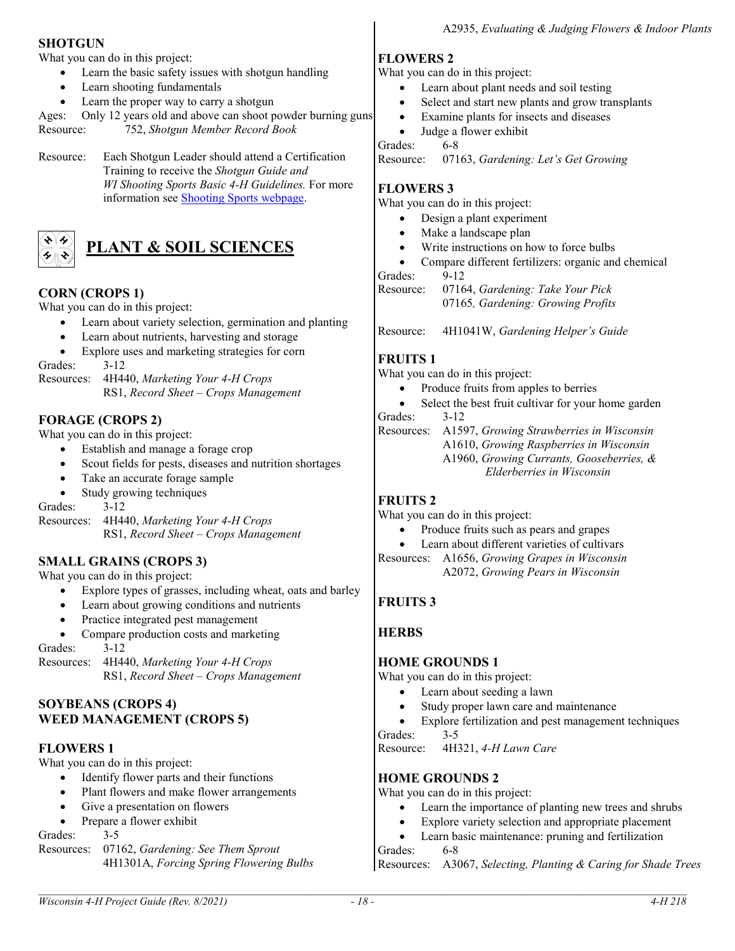#### **SHOTGUN**

What you can do in this project:

- Learn the basic safety issues with shotgun handling
- Learn shooting fundamentals
- Learn the proper way to carry a shotgun
- Ages: Only 12 years old and above can shoot powder burning guns

Resource: 752, *Shotgun Member Record Book*

Resource: Each Shotgun Leader should attend a Certification Training to receive the *Shotgun Guide and WI Shooting Sports Basic 4-H Guidelines.* For more information see [Shooting Sports webpage.](https://fyi.extension.wisc.edu/4h-ext/opportunities/projects/shooting-sports/)



# **PLANT & SOIL SCIENCES**

# **CORN (CROPS 1)**

What you can do in this project:

- Learn about variety selection, germination and planting
- Learn about nutrients, harvesting and storage
- Explore uses and marketing strategies for corn

Grades: 3-12

Resources: 4H440, *Marketing Your 4-H Crops* RS1, *Record Sheet – Crops Management*

# **FORAGE (CROPS 2)**

What you can do in this project:

- Establish and manage a forage crop
- Scout fields for pests, diseases and nutrition shortages
- Take an accurate forage sample
- Study growing techniques

Grades: 3-12

Resources: 4H440, *Marketing Your 4-H Crops* RS1, *Record Sheet – Crops Management*

# **SMALL GRAINS (CROPS 3)**

What you can do in this project:

- Explore types of grasses, including wheat, oats and barley
- Learn about growing conditions and nutrients
- Practice integrated pest management
- Compare production costs and marketing

Grades: 3-12

Resources: 4H440, *Marketing Your 4-H Crops* RS1, *Record Sheet – Crops Management*

### **SOYBEANS (CROPS 4) WEED MANAGEMENT (CROPS 5)**

#### **FLOWERS 1**

What you can do in this project:

- Identify flower parts and their functions
- Plant flowers and make flower arrangements
- Give a presentation on flowers
- Prepare a flower exhibit

Grades: 3-5

Resources: 07162, *Gardening: See Them Sprout* 4H1301A, *Forcing Spring Flowering Bulbs*

# **FLOWERS 2**

What you can do in this project:

- Learn about plant needs and soil testing
- Select and start new plants and grow transplants
- Examine plants for insects and diseases
- Judge a flower exhibit

Grades: 6-8

Resource: 07163, *Gardening: Let's Get Growing*

### **FLOWERS 3**

What you can do in this project:

- Design a plant experiment
- Make a landscape plan
- Write instructions on how to force bulbs
- Compare different fertilizers: organic and chemical

Grades: 9-12

Resource: 07164, *Gardening: Take Your Pick* 07165*, Gardening: Growing Profits*

Resource: 4H1041W, *Gardening Helper's Guide*

#### **FRUITS 1**

What you can do in this project:

- Produce fruits from apples to berries
- Select the best fruit cultivar for your home garden Grades: 3-12

Resources: A1597, *Growing Strawberries in Wisconsin* A1610, *Growing Raspberries in Wisconsin* A1960, *Growing Currants, Gooseberries, & Elderberries in Wisconsin*

#### **FRUITS 2**

What you can do in this project:

- Produce fruits such as pears and grapes
- Learn about different varieties of cultivars

Resources: A1656, *Growing Grapes in Wisconsin* A2072, *Growing Pears in Wisconsin*

# **FRUITS 3**

#### **HERBS**

#### **HOME GROUNDS 1**

What you can do in this project:

- Learn about seeding a lawn
- Study proper lawn care and maintenance
- Explore fertilization and pest management techniques

Grades: 3-5

Resource: 4H321, *4-H Lawn Care*

#### **HOME GROUNDS 2**

What you can do in this project:

- Learn the importance of planting new trees and shrubs
- Explore variety selection and appropriate placement
- Learn basic maintenance: pruning and fertilization Grades: 6-8

Resources: A3067, *Selecting, Planting & Caring for Shade Trees*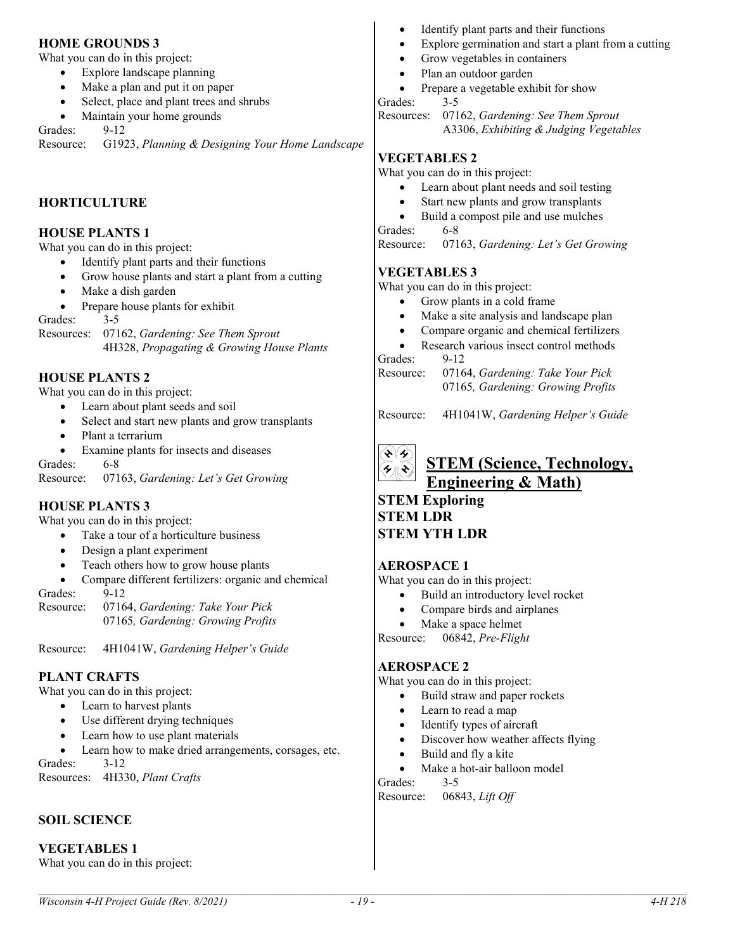#### **HOME GROUNDS 3**

What you can do in this project:

- Explore landscape planning
- Make a plan and put it on paper
- Select, place and plant trees and shrubs
- Maintain your home grounds

Grades: 9-12

Resource: G1923, *Planning & Designing Your Home Landscape*

#### **HORTICULTURE**

#### **HOUSE PLANTS 1**

What you can do in this project:

- Identify plant parts and their functions
- Grow house plants and start a plant from a cutting
- Make a dish garden
- Prepare house plants for exhibit

Grades: 3-5

Resources: 07162, *Gardening: See Them Sprout* 4H328, *Propagating & Growing House Plants*

#### **HOUSE PLANTS 2**

What you can do in this project:

- Learn about plant seeds and soil
- Select and start new plants and grow transplants
- Plant a terrarium
- Examine plants for insects and diseases
- Grades: 6-8

Resource: 07163, *Gardening: Let's Get Growing*

#### **HOUSE PLANTS 3**

What you can do in this project:

- Take a tour of a horticulture business
- Design a plant experiment
- Teach others how to grow house plants
- Compare different fertilizers: organic and chemical Grades: 9-12
- Resource: 07164, *Gardening: Take Your Pick* 07165*, Gardening: Growing Profits*

Resource: 4H1041W, *Gardening Helper's Guide*

#### **PLANT CRAFTS**

What you can do in this project:

- Learn to harvest plants
- Use different drying techniques
- Learn how to use plant materials
- Learn how to make dried arrangements, corsages, etc.

Grades: 3-12

Resources: 4H330, *Plant Crafts*

#### **SOIL SCIENCE**

**VEGETABLES 1**

What you can do in this project:

- Identify plant parts and their functions
- Explore germination and start a plant from a cutting
- Grow vegetables in containers
- Plan an outdoor garden
- Prepare a vegetable exhibit for show

Grades: 3-5

Resources: 07162, *Gardening: See Them Sprout* A3306, *Exhibiting & Judging Vegetables*

#### **VEGETABLES 2**

What you can do in this project:

- Learn about plant needs and soil testing
- Start new plants and grow transplants
- Build a compost pile and use mulches

Grades: 6-8

Resource: 07163, *Gardening: Let's Get Growing*

#### **VEGETABLES 3**

What you can do in this project:

- Grow plants in a cold frame
- Make a site analysis and landscape plan
- Compare organic and chemical fertilizers

• Research various insect control methods Grades: 9-12

Resource: 07164, *Gardening: Take Your Pick* 07165*, Gardening: Growing Profits*

Resource: 4H1041W, *Gardening Helper's Guide*



# **STEM Exploring STEM LDR STEM YTH LDR**

#### **AEROSPACE 1**

What you can do in this project:

- Build an introductory level rocket
- Compare birds and airplanes
- Make a space helmet

Resource: 06842, *Pre-Flight*

#### **AEROSPACE 2**

What you can do in this project:

- Build straw and paper rockets
- Learn to read a map
- Identify types of aircraft
- Discover how weather affects flying
- Build and fly a kite
- Make a hot-air balloon model
- Grades: 3-5

Resource: 06843, *Lift Off*